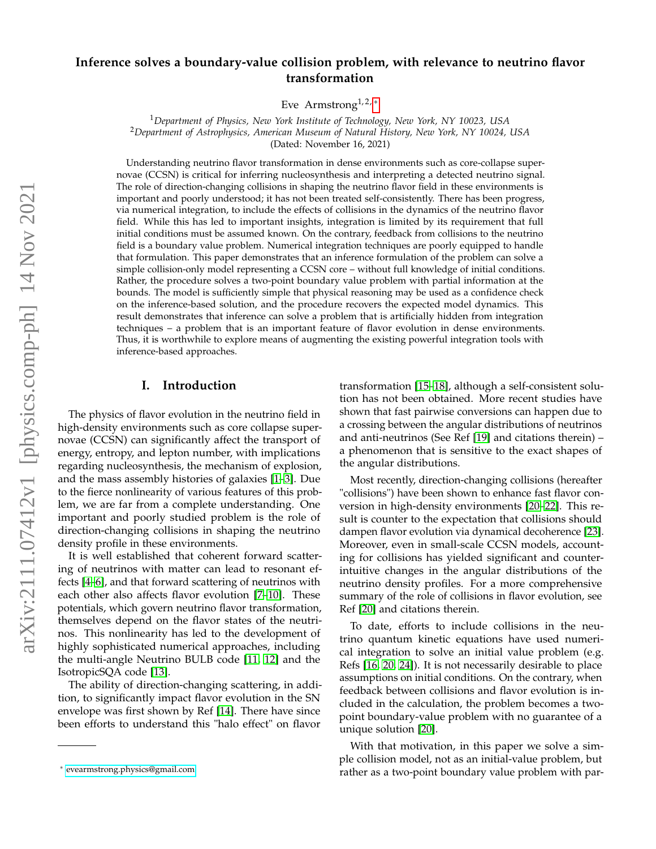# **Inference solves a boundary-value collision problem, with relevance to neutrino flavor transformation**

Eve Armstrong<sup>1,2,  $*$ </sup>

<sup>1</sup>*Department of Physics, New York Institute of Technology, New York, NY 10023, USA* <sup>2</sup>*Department of Astrophysics, American Museum of Natural History, New York, NY 10024, USA* (Dated: November 16, 2021)

Understanding neutrino flavor transformation in dense environments such as core-collapse supernovae (CCSN) is critical for inferring nucleosynthesis and interpreting a detected neutrino signal. The role of direction-changing collisions in shaping the neutrino flavor field in these environments is important and poorly understood; it has not been treated self-consistently. There has been progress, via numerical integration, to include the effects of collisions in the dynamics of the neutrino flavor field. While this has led to important insights, integration is limited by its requirement that full initial conditions must be assumed known. On the contrary, feedback from collisions to the neutrino field is a boundary value problem. Numerical integration techniques are poorly equipped to handle that formulation. This paper demonstrates that an inference formulation of the problem can solve a simple collision-only model representing a CCSN core – without full knowledge of initial conditions. Rather, the procedure solves a two-point boundary value problem with partial information at the bounds. The model is sufficiently simple that physical reasoning may be used as a confidence check on the inference-based solution, and the procedure recovers the expected model dynamics. This result demonstrates that inference can solve a problem that is artificially hidden from integration techniques – a problem that is an important feature of flavor evolution in dense environments. Thus, it is worthwhile to explore means of augmenting the existing powerful integration tools with inference-based approaches.

## **I. Introduction**

The physics of flavor evolution in the neutrino field in high-density environments such as core collapse supernovae (CCSN) can significantly affect the transport of energy, entropy, and lepton number, with implications regarding nucleosynthesis, the mechanism of explosion, and the mass assembly histories of galaxies [\[1–](#page-7-0)[3\]](#page-7-1). Due to the fierce nonlinearity of various features of this problem, we are far from a complete understanding. One important and poorly studied problem is the role of direction-changing collisions in shaping the neutrino density profile in these environments.

It is well established that coherent forward scattering of neutrinos with matter can lead to resonant effects [\[4](#page-7-2)[–6\]](#page-7-3), and that forward scattering of neutrinos with each other also affects flavor evolution [\[7](#page-7-4)[–10\]](#page-7-5). These potentials, which govern neutrino flavor transformation, themselves depend on the flavor states of the neutrinos. This nonlinearity has led to the development of highly sophisticated numerical approaches, including the multi-angle Neutrino BULB code [\[11,](#page-7-6) [12\]](#page-7-7) and the IsotropicSQA code [\[13\]](#page-8-0).

The ability of direction-changing scattering, in addition, to significantly impact flavor evolution in the SN envelope was first shown by Ref [\[14\]](#page-8-1). There have since been efforts to understand this "halo effect" on flavor

transformation [\[15](#page-8-2)[–18\]](#page-8-3), although a self-consistent solution has not been obtained. More recent studies have shown that fast pairwise conversions can happen due to a crossing between the angular distributions of neutrinos and anti-neutrinos (See Ref [\[19\]](#page-8-4) and citations therein) – a phenomenon that is sensitive to the exact shapes of the angular distributions.

Most recently, direction-changing collisions (hereafter "collisions") have been shown to enhance fast flavor conversion in high-density environments [\[20–](#page-8-5)[22\]](#page-8-6). This result is counter to the expectation that collisions should dampen flavor evolution via dynamical decoherence [\[23\]](#page-8-7). Moreover, even in small-scale CCSN models, accounting for collisions has yielded significant and counterintuitive changes in the angular distributions of the neutrino density profiles. For a more comprehensive summary of the role of collisions in flavor evolution, see Ref [\[20\]](#page-8-5) and citations therein.

To date, efforts to include collisions in the neutrino quantum kinetic equations have used numerical integration to solve an initial value problem (e.g. Refs [\[16,](#page-8-8) [20,](#page-8-5) [24\]](#page-8-9)). It is not necessarily desirable to place assumptions on initial conditions. On the contrary, when feedback between collisions and flavor evolution is included in the calculation, the problem becomes a twopoint boundary-value problem with no guarantee of a unique solution [\[20\]](#page-8-5).

With that motivation, in this paper we solve a simple collision model, not as an initial-value problem, but rather as a two-point boundary value problem with par-

<span id="page-0-0"></span><sup>∗</sup> [evearmstrong.physics@gmail.com](mailto:evearmstrong.physics@gmail.com)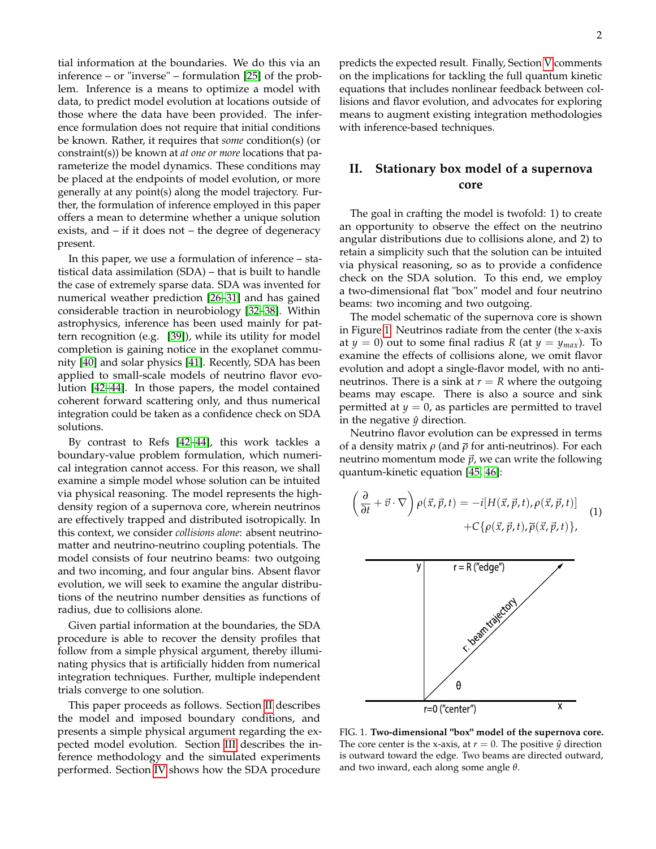tial information at the boundaries. We do this via an inference – or "inverse" – formulation [\[25\]](#page-8-10) of the problem. Inference is a means to optimize a model with data, to predict model evolution at locations outside of those where the data have been provided. The inference formulation does not require that initial conditions be known. Rather, it requires that *some* condition(s) (or constraint(s)) be known at *at one or more* locations that parameterize the model dynamics. These conditions may be placed at the endpoints of model evolution, or more generally at any point(s) along the model trajectory. Further, the formulation of inference employed in this paper offers a mean to determine whether a unique solution exists, and – if it does not – the degree of degeneracy present.

In this paper, we use a formulation of inference – statistical data assimilation (SDA) – that is built to handle the case of extremely sparse data. SDA was invented for numerical weather prediction [\[26](#page-8-11)[–31\]](#page-8-12) and has gained considerable traction in neurobiology [\[32](#page-8-13)[–38\]](#page-8-14). Within astrophysics, inference has been used mainly for pattern recognition (e.g. [\[39\]](#page-8-15)), while its utility for model completion is gaining notice in the exoplanet community [\[40\]](#page-8-16) and solar physics [\[41\]](#page-8-17). Recently, SDA has been applied to small-scale models of neutrino flavor evolution [\[42](#page-8-18)[–44\]](#page-8-19). In those papers, the model contained coherent forward scattering only, and thus numerical integration could be taken as a confidence check on SDA solutions.

By contrast to Refs [\[42–](#page-8-18)[44\]](#page-8-19), this work tackles a boundary-value problem formulation, which numerical integration cannot access. For this reason, we shall examine a simple model whose solution can be intuited via physical reasoning. The model represents the highdensity region of a supernova core, wherein neutrinos are effectively trapped and distributed isotropically. In this context, we consider *collisions alone*: absent neutrinomatter and neutrino-neutrino coupling potentials. The model consists of four neutrino beams: two outgoing and two incoming, and four angular bins. Absent flavor evolution, we will seek to examine the angular distributions of the neutrino number densities as functions of radius, due to collisions alone.

Given partial information at the boundaries, the SDA procedure is able to recover the density profiles that follow from a simple physical argument, thereby illuminating physics that is artificially hidden from numerical integration techniques. Further, multiple independent trials converge to one solution.

This paper proceeds as follows. Section [II](#page-1-0) describes the model and imposed boundary conditions, and presents a simple physical argument regarding the expected model evolution. Section [III](#page-3-0) describes the inference methodology and the simulated experiments performed. Section [IV](#page-4-0) shows how the SDA procedure

predicts the expected result. Finally, Section [V](#page-6-0) comments on the implications for tackling the full quantum kinetic equations that includes nonlinear feedback between collisions and flavor evolution, and advocates for exploring means to augment existing integration methodologies with inference-based techniques.

# <span id="page-1-0"></span>**II. Stationary box model of a supernova core**

The goal in crafting the model is twofold: 1) to create an opportunity to observe the effect on the neutrino angular distributions due to collisions alone, and 2) to retain a simplicity such that the solution can be intuited via physical reasoning, so as to provide a confidence check on the SDA solution. To this end, we employ a two-dimensional flat "box" model and four neutrino beams: two incoming and two outgoing.

The model schematic of the supernova core is shown in Figure [1.](#page-1-1) Neutrinos radiate from the center (the x-axis at  $y = 0$ ) out to some final radius *R* (at  $y = y_{max}$ ). To examine the effects of collisions alone, we omit flavor evolution and adopt a single-flavor model, with no antineutrinos. There is a sink at  $r = R$  where the outgoing beams may escape. There is also a source and sink permitted at  $y = 0$ , as particles are permitted to travel in the negative  $\hat{y}$  direction.

Neutrino flavor evolution can be expressed in terms of a density matrix *ρ* (and *ρ* for anti-neutrinos). For each neutrino momentum mode  $\vec{p}$ , we can write the following quantum-kinetic equation [\[45,](#page-8-20) [46\]](#page-8-21):

<span id="page-1-2"></span>
$$
\left(\frac{\partial}{\partial t} + \vec{v} \cdot \nabla\right) \rho(\vec{x}, \vec{p}, t) = -i[H(\vec{x}, \vec{p}, t), \rho(\vec{x}, \vec{p}, t)] + C\{\rho(\vec{x}, \vec{p}, t), \overline{\rho}(\vec{x}, \vec{p}, t)\},\tag{1}
$$



<span id="page-1-1"></span>FIG. 1. **Two-dimensional "box" model of the supernova core.** The core center is the x-axis, at  $r = 0$ . The positive  $\hat{y}$  direction is outward toward the edge. Two beams are directed outward, and two inward, each along some angle *θ*.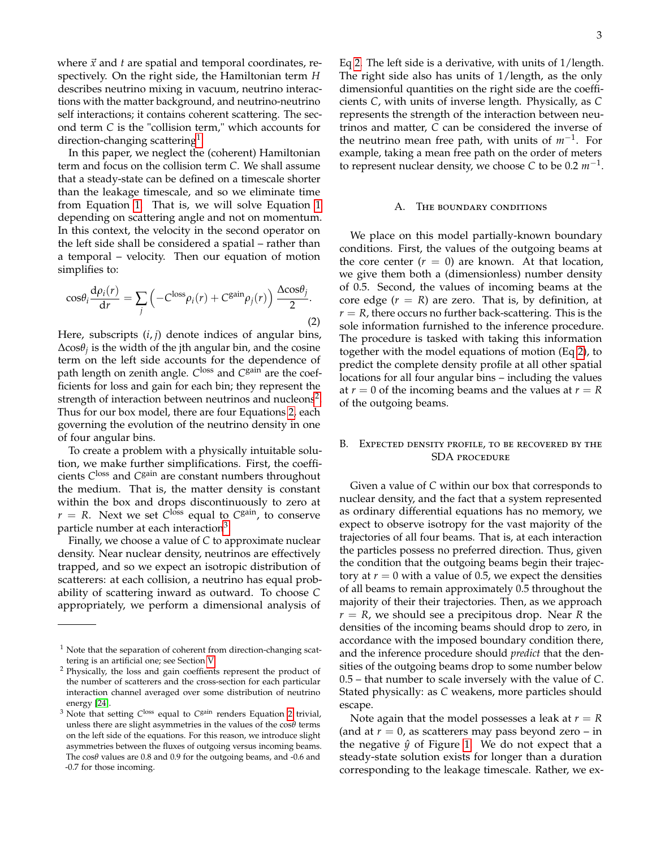where  $\vec{x}$  and  $t$  are spatial and temporal coordinates, respectively. On the right side, the Hamiltonian term *H* describes neutrino mixing in vacuum, neutrino interactions with the matter background, and neutrino-neutrino self interactions; it contains coherent scattering. The second term *C* is the "collision term," which accounts for direction-changing scattering<sup>[1](#page-2-0)</sup>.

In this paper, we neglect the (coherent) Hamiltonian term and focus on the collision term *C*. We shall assume that a steady-state can be defined on a timescale shorter than the leakage timescale, and so we eliminate time from Equation [1.](#page-1-2) That is, we will solve Equation [1](#page-1-2) depending on scattering angle and not on momentum. In this context, the velocity in the second operator on the left side shall be considered a spatial – rather than a temporal – velocity. Then our equation of motion simplifies to:

<span id="page-2-2"></span>
$$
\cos\theta_i \frac{\mathrm{d}\rho_i(r)}{\mathrm{d}r} = \sum_j \left( -C^{\text{loss}} \rho_i(r) + C^{\text{gain}} \rho_j(r) \right) \frac{\Delta \cos\theta_j}{2}.
$$
\n(2)

Here, subscripts (*i*, *j*) denote indices of angular bins, ∆cos*θ<sup>j</sup>* is the width of the jth angular bin, and the cosine term on the left side accounts for the dependence of path length on zenith angle. *C* loss and *C* gain are the coefficients for loss and gain for each bin; they represent the strength of interaction between neutrinos and nucleons<sup>[2](#page-2-1)</sup>. Thus for our box model, there are four Equations [2,](#page-2-2) each governing the evolution of the neutrino density in one of four angular bins.

To create a problem with a physically intuitable solution, we make further simplifications. First, the coefficients *C* loss and *C* gain are constant numbers throughout the medium. That is, the matter density is constant within the box and drops discontinuously to zero at  $r = R$ . Next we set  $C^{\text{loss}}$  equal to  $C^{\text{gain}}$ , to conserve particle number at each interaction<sup>[3](#page-2-3)</sup>.

Finally, we choose a value of *C* to approximate nuclear density. Near nuclear density, neutrinos are effectively trapped, and so we expect an isotropic distribution of scatterers: at each collision, a neutrino has equal probability of scattering inward as outward. To choose *C* appropriately, we perform a dimensional analysis of

Eq [2.](#page-2-2) The left side is a derivative, with units of 1/length. The right side also has units of 1/length, as the only dimensionful quantities on the right side are the coefficients *C*, with units of inverse length. Physically, as *C* represents the strength of the interaction between neutrinos and matter, *C* can be considered the inverse of the neutrino mean free path, with units of *m*−<sup>1</sup> . For example, taking a mean free path on the order of meters to represent nuclear density, we choose  $C$  to be 0.2  $m^{-1}$ .

### A. The boundary conditions

We place on this model partially-known boundary conditions. First, the values of the outgoing beams at the core center  $(r = 0)$  are known. At that location, we give them both a (dimensionless) number density of 0.5. Second, the values of incoming beams at the core edge  $(r = R)$  are zero. That is, by definition, at  $r = R$ , there occurs no further back-scattering. This is the sole information furnished to the inference procedure. The procedure is tasked with taking this information together with the model equations of motion (Eq [2\)](#page-2-2), to predict the complete density profile at all other spatial locations for all four angular bins – including the values at  $r = 0$  of the incoming beams and the values at  $r = R$ of the outgoing beams.

### B. Expected density profile, to be recovered by the SDA procedure

Given a value of *C* within our box that corresponds to nuclear density, and the fact that a system represented as ordinary differential equations has no memory, we expect to observe isotropy for the vast majority of the trajectories of all four beams. That is, at each interaction the particles possess no preferred direction. Thus, given the condition that the outgoing beams begin their trajectory at  $r = 0$  with a value of 0.5, we expect the densities of all beams to remain approximately 0.5 throughout the majority of their their trajectories. Then, as we approach *r* = *R*, we should see a precipitous drop. Near *R* the densities of the incoming beams should drop to zero, in accordance with the imposed boundary condition there, and the inference procedure should *predict* that the densities of the outgoing beams drop to some number below 0.5 – that number to scale inversely with the value of *C*. Stated physically: as *C* weakens, more particles should escape.

Note again that the model possesses a leak at  $r = R$ (and at  $r = 0$ , as scatterers may pass beyond zero – in the negative  $\hat{y}$  of Figure [1.](#page-1-1) We do not expect that a steady-state solution exists for longer than a duration corresponding to the leakage timescale. Rather, we ex-

<span id="page-2-0"></span> $1$  Note that the separation of coherent from direction-changing scattering is an artificial one; see Section [V.](#page-6-0)

<span id="page-2-1"></span><sup>2</sup> Physically, the loss and gain coeffients represent the product of the number of scatterers and the cross-section for each particular interaction channel averaged over some distribution of neutrino energy [\[24\]](#page-8-9).

<span id="page-2-3"></span><sup>&</sup>lt;sup>3</sup> Note that setting C<sup>loss</sup> equal to C<sup>gain</sup> renders Equation [2](#page-2-2) trivial, unless there are slight asymmetries in the values of the cos*θ* terms on the left side of the equations. For this reason, we introduce slight asymmetries between the fluxes of outgoing versus incoming beams. The cos*θ* values are 0.8 and 0.9 for the outgoing beams, and -0.6 and -0.7 for those incoming.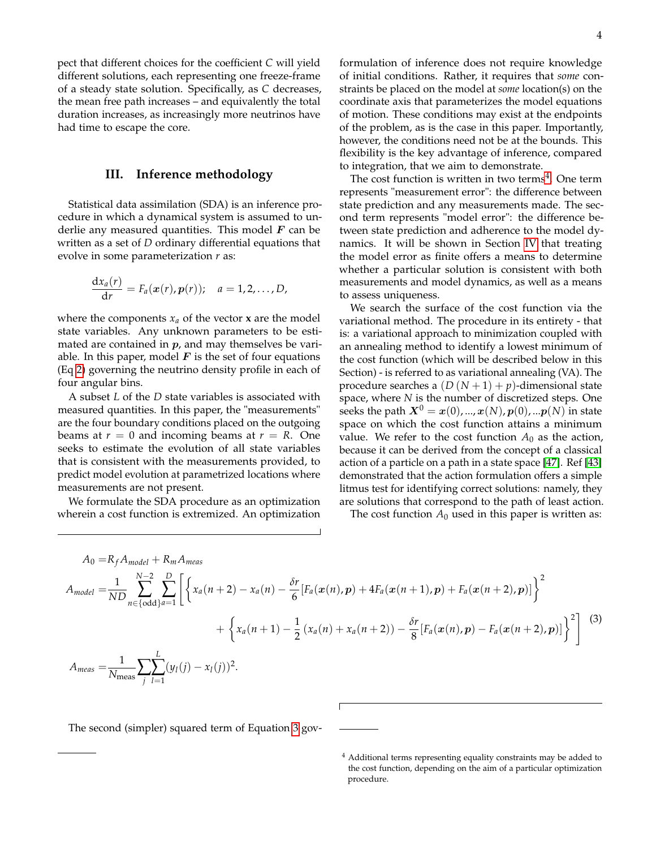pect that different choices for the coefficient *C* will yield different solutions, each representing one freeze-frame of a steady state solution. Specifically, as *C* decreases, the mean free path increases – and equivalently the total duration increases, as increasingly more neutrinos have had time to escape the core.

### <span id="page-3-0"></span>**III. Inference methodology**

Statistical data assimilation (SDA) is an inference procedure in which a dynamical system is assumed to underlie any measured quantities. This model  $F$  can be written as a set of *D* ordinary differential equations that evolve in some parameterization *r* as:

$$
\frac{\mathrm{d}x_a(r)}{\mathrm{d}r}=F_a(\boldsymbol{x}(r),\boldsymbol{p}(r));\quad a=1,2,\ldots,D,
$$

where the components  $x_a$  of the vector  $x$  are the model state variables. Any unknown parameters to be estimated are contained in  $p$ , and may themselves be variable. In this paper, model  $F$  is the set of four equations (Eq [2\)](#page-2-2) governing the neutrino density profile in each of four angular bins.

A subset *L* of the *D* state variables is associated with measured quantities. In this paper, the "measurements" are the four boundary conditions placed on the outgoing beams at  $r = 0$  and incoming beams at  $r = R$ . One seeks to estimate the evolution of all state variables that is consistent with the measurements provided, to predict model evolution at parametrized locations where measurements are not present.

We formulate the SDA procedure as an optimization wherein a cost function is extremized. An optimization

formulation of inference does not require knowledge of initial conditions. Rather, it requires that *some* constraints be placed on the model at *some* location(s) on the coordinate axis that parameterizes the model equations of motion. These conditions may exist at the endpoints of the problem, as is the case in this paper. Importantly, however, the conditions need not be at the bounds. This flexibility is the key advantage of inference, compared to integration, that we aim to demonstrate.

The cost function is written in two terms<sup>[4](#page-3-1)</sup>. One term represents "measurement error": the difference between state prediction and any measurements made. The second term represents "model error": the difference between state prediction and adherence to the model dynamics. It will be shown in Section [IV](#page-4-0) that treating the model error as finite offers a means to determine whether a particular solution is consistent with both measurements and model dynamics, as well as a means to assess uniqueness.

We search the surface of the cost function via the variational method. The procedure in its entirety - that is: a variational approach to minimization coupled with an annealing method to identify a lowest minimum of the cost function (which will be described below in this Section) - is referred to as variational annealing (VA). The procedure searches a  $(D(N+1) + p)$ -dimensional state space, where *N* is the number of discretized steps. One seeks the path  $X^0 = x(0), ..., x(N), p(0), ...p(N)$  in state space on which the cost function attains a minimum value. We refer to the cost function  $A_0$  as the action, because it can be derived from the concept of a classical action of a particle on a path in a state space [\[47\]](#page-8-22). Ref [\[43\]](#page-8-23) demonstrated that the action formulation offers a simple litmus test for identifying correct solutions: namely, they are solutions that correspond to the path of least action.

The cost function  $A_0$  used in this paper is written as:

<span id="page-3-2"></span>
$$
A_0 = R_f A_{model} + R_m A_{meas}
$$
  
\n
$$
A_{model} = \frac{1}{ND} \sum_{n \in \{odd\}}^{N-2} \sum_{a=1}^{D} \left[ \left\{ x_a(n+2) - x_a(n) - \frac{\delta r}{6} [F_a(x(n), p) + 4F_a(x(n+1), p) + F_a(x(n+2), p)] \right\}^2 + \left\{ x_a(n+1) - \frac{1}{2} (x_a(n) + x_a(n+2)) - \frac{\delta r}{8} [F_a(x(n), p) - F_a(x(n+2), p)] \right\}^2 \right]
$$
\n
$$
A_{meas} = \frac{1}{N_{meas}} \sum_{j} \sum_{l=1}^{L} (y_l(j) - x_l(j))^2.
$$
\n(3)

The second (simpler) squared term of Equation [3](#page-3-2) gov-

<span id="page-3-1"></span><sup>&</sup>lt;sup>4</sup> Additional terms representing equality constraints may be added to the cost function, depending on the aim of a particular optimization procedure.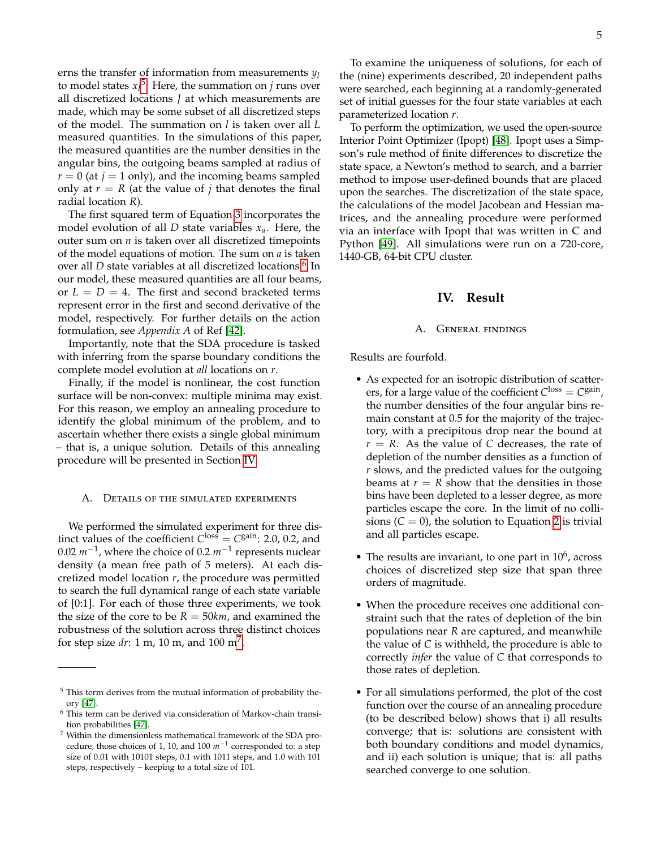erns the transfer of information from measurements *y<sup>l</sup>* to model states  $x_l^5$  $x_l^5$ . Here, the summation on *j* runs over all discretized locations *J* at which measurements are made, which may be some subset of all discretized steps of the model. The summation on *l* is taken over all *L* measured quantities. In the simulations of this paper, the measured quantities are the number densities in the angular bins, the outgoing beams sampled at radius of  $r = 0$  (at  $j = 1$  only), and the incoming beams sampled only at  $r = R$  (at the value of *j* that denotes the final radial location *R*).

The first squared term of Equation [3](#page-3-2) incorporates the model evolution of all *D* state variables *xa*. Here, the outer sum on  $n$  is taken over all discretized timepoints of the model equations of motion. The sum on *a* is taken over all *D* state variables at all discretized locations.<sup>[6](#page-4-2)</sup> In our model, these measured quantities are all four beams, or  $L = D = 4$ . The first and second bracketed terms represent error in the first and second derivative of the model, respectively. For further details on the action formulation, see *Appendix A* of Ref [\[42\]](#page-8-18).

Importantly, note that the SDA procedure is tasked with inferring from the sparse boundary conditions the complete model evolution at *all* locations on *r*.

Finally, if the model is nonlinear, the cost function surface will be non-convex: multiple minima may exist. For this reason, we employ an annealing procedure to identify the global minimum of the problem, and to ascertain whether there exists a single global minimum – that is, a unique solution. Details of this annealing procedure will be presented in Section [IV.](#page-4-0)

#### A. DETAILS OF THE SIMULATED EXPERIMENTS

We performed the simulated experiment for three distinct values of the coefficient  $C^{\text{loss}} = C^{\text{gain}}$ : 2.0, 0.2, and 0.02 *m*−<sup>1</sup> , where the choice of 0.2 *m*−<sup>1</sup> represents nuclear density (a mean free path of 5 meters). At each discretized model location *r*, the procedure was permitted to search the full dynamical range of each state variable of [0:1]. For each of those three experiments, we took the size of the core to be  $R = 50km$ , and examined the robustness of the solution across three distinct choices for step size *dr*: 1 m, 10 m, and 100 m[7](#page-4-3) .

To examine the uniqueness of solutions, for each of the (nine) experiments described, 20 independent paths were searched, each beginning at a randomly-generated set of initial guesses for the four state variables at each parameterized location *r*.

To perform the optimization, we used the open-source Interior Point Optimizer (Ipopt) [\[48\]](#page-8-24). Ipopt uses a Simpson's rule method of finite differences to discretize the state space, a Newton's method to search, and a barrier method to impose user-defined bounds that are placed upon the searches. The discretization of the state space, the calculations of the model Jacobean and Hessian matrices, and the annealing procedure were performed via an interface with Ipopt that was written in C and Python [\[49\]](#page-8-25). All simulations were run on a 720-core, 1440-GB, 64-bit CPU cluster.

# **IV. Result**

### A. General findings

<span id="page-4-0"></span>Results are fourfold.

- As expected for an isotropic distribution of scatterers, for a large value of the coefficient  $C^{\text{loss}} = C^{\text{gain}}$ , the number densities of the four angular bins remain constant at 0.5 for the majority of the trajectory, with a precipitous drop near the bound at  $r = R$ . As the value of *C* decreases, the rate of depletion of the number densities as a function of *r* slows, and the predicted values for the outgoing beams at  $r = R$  show that the densities in those bins have been depleted to a lesser degree, as more particles escape the core. In the limit of no collisions  $(C = 0)$ , the solution to Equation [2](#page-2-2) is trivial and all particles escape.
- The results are invariant, to one part in  $10^6$ , across choices of discretized step size that span three orders of magnitude.
- When the procedure receives one additional constraint such that the rates of depletion of the bin populations near *R* are captured, and meanwhile the value of *C* is withheld, the procedure is able to correctly *infer* the value of *C* that corresponds to those rates of depletion.
- For all simulations performed, the plot of the cost function over the course of an annealing procedure (to be described below) shows that i) all results converge; that is: solutions are consistent with both boundary conditions and model dynamics, and ii) each solution is unique; that is: all paths searched converge to one solution.

<span id="page-4-1"></span> $^5$  This term derives from the mutual information of probability theory [\[47\]](#page-8-22).

<span id="page-4-2"></span> $6$  This term can be derived via consideration of Markov-chain transition probabilities [\[47\]](#page-8-22).

<span id="page-4-3"></span><sup>7</sup> Within the dimensionless mathematical framework of the SDA procedure, those choices of 1, 10, and 100 *m*−<sup>1</sup> corresponded to: a step size of 0.01 with 10101 steps, 0.1 with 1011 steps, and 1.0 with 101 steps, respectively – keeping to a total size of 101.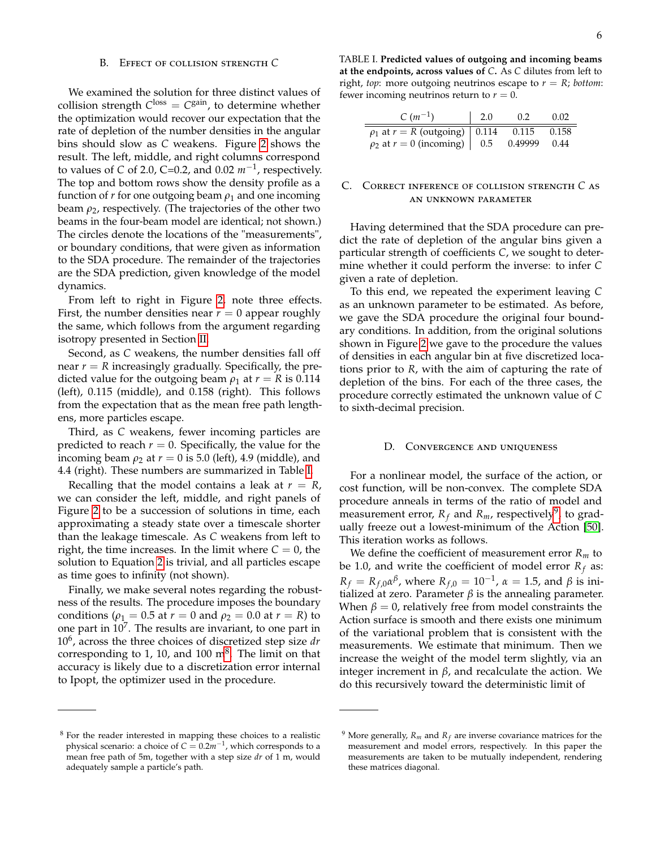#### B. Effect of collision strength *C*

We examined the solution for three distinct values of collision strength  $C^{\text{loss}} = C^{\text{gain}}$ , to determine whether the optimization would recover our expectation that the rate of depletion of the number densities in the angular bins should slow as *C* weakens. Figure [2](#page-6-1) shows the result. The left, middle, and right columns correspond to values of *C* of 2.0, C=0.2, and 0.02 *m*−<sup>1</sup> , respectively. The top and bottom rows show the density profile as a function of  $r$  for one outgoing beam  $\rho_1$  and one incoming beam  $\rho_2$ , respectively. (The trajectories of the other two beams in the four-beam model are identical; not shown.) The circles denote the locations of the "measurements", or boundary conditions, that were given as information to the SDA procedure. The remainder of the trajectories are the SDA prediction, given knowledge of the model dynamics.

From left to right in Figure [2,](#page-6-1) note three effects. First, the number densities near  $r = 0$  appear roughly the same, which follows from the argument regarding isotropy presented in Section [II.](#page-1-0)

Second, as *C* weakens, the number densities fall off near  $r = R$  increasingly gradually. Specifically, the predicted value for the outgoing beam  $\rho_1$  at  $r = R$  is 0.114 (left), 0.115 (middle), and 0.158 (right). This follows from the expectation that as the mean free path lengthens, more particles escape.

Third, as *C* weakens, fewer incoming particles are predicted to reach  $r = 0$ . Specifically, the value for the incoming beam  $\rho_2$  at  $r = 0$  is 5.0 (left), 4.9 (middle), and 4.4 (right). These numbers are summarized in Table [I.](#page-5-0)

Recalling that the model contains a leak at  $r = R$ , we can consider the left, middle, and right panels of Figure [2](#page-6-1) to be a succession of solutions in time, each approximating a steady state over a timescale shorter than the leakage timescale. As *C* weakens from left to right, the time increases. In the limit where  $C = 0$ , the solution to Equation [2](#page-2-2) is trivial, and all particles escape as time goes to infinity (not shown).

Finally, we make several notes regarding the robustness of the results. The procedure imposes the boundary conditions ( $\rho_1 = 0.5$  at  $r = 0$  and  $\rho_2 = 0.0$  at  $r = R$ ) to one part in  $10^7$ . The results are invariant, to one part in 10<sup>6</sup> , across the three choices of discretized step size *dr* corresponding to 1, 10, and 100  $m^8$  $m^8$ . The limit on that accuracy is likely due to a discretization error internal to Ipopt, the optimizer used in the procedure.

<span id="page-5-0"></span>TABLE I. **Predicted values of outgoing and incoming beams at the endpoints, across values of** *C***.** As *C* dilutes from left to right, *top*: more outgoing neutrinos escape to  $r = R$ ; *bottom*: fewer incoming neutrinos return to  $r = 0$ .

| $C(m^{-1})$                            | $\vert$ 2.0 | 0.2     | 0.02  |
|----------------------------------------|-------------|---------|-------|
| $\rho_1$ at $r = R$ (outgoing)   0.114 |             | 0.115   | 0.158 |
| $ho_2$ at $r = 0$ (incoming)   0.5     |             | 0.49999 | 0.44  |

### C. Correct inference of collision strength *C* as an unknown parameter

Having determined that the SDA procedure can predict the rate of depletion of the angular bins given a particular strength of coefficients *C*, we sought to determine whether it could perform the inverse: to infer *C* given a rate of depletion.

To this end, we repeated the experiment leaving *C* as an unknown parameter to be estimated. As before, we gave the SDA procedure the original four boundary conditions. In addition, from the original solutions shown in Figure [2](#page-6-1) we gave to the procedure the values of densities in each angular bin at five discretized locations prior to *R*, with the aim of capturing the rate of depletion of the bins. For each of the three cases, the procedure correctly estimated the unknown value of *C* to sixth-decimal precision.

# D. Convergence and uniqueness

For a nonlinear model, the surface of the action, or cost function, will be non-convex. The complete SDA procedure anneals in terms of the ratio of model and measurement error,  $R_f$  and  $R_m$ , respectively<sup>[9](#page-5-2)</sup>, to gradually freeze out a lowest-minimum of the Action [\[50\]](#page-8-26). This iteration works as follows.

We define the coefficient of measurement error  $R_m$  to be 1.0, and write the coefficient of model error  $R_f$  as:  $R_f = R_{f,0} \alpha^{\beta}$ , where  $R_{f,0} = 10^{-1}$ ,  $\alpha = 1.5$ , and  $\beta$  is initialized at zero. Parameter  $β$  is the annealing parameter. When  $\beta = 0$ , relatively free from model constraints the Action surface is smooth and there exists one minimum of the variational problem that is consistent with the measurements. We estimate that minimum. Then we increase the weight of the model term slightly, via an integer increment in  $β$ , and recalculate the action. We do this recursively toward the deterministic limit of

<span id="page-5-1"></span><sup>8</sup> For the reader interested in mapping these choices to a realistic physical scenario: a choice of *C* = 0.2*m*−<sup>1</sup> , which corresponds to a mean free path of 5m, together with a step size *dr* of 1 m, would adequately sample a particle's path.

<span id="page-5-2"></span><sup>&</sup>lt;sup>9</sup> More generally,  $R_m$  and  $R_f$  are inverse covariance matrices for the measurement and model errors, respectively. In this paper the measurements are taken to be mutually independent, rendering these matrices diagonal.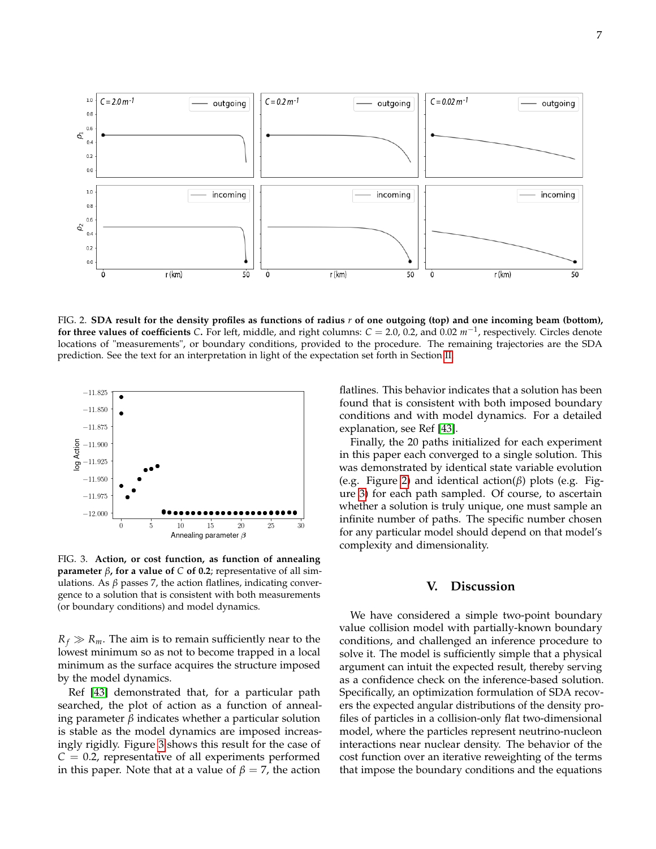

<span id="page-6-1"></span>FIG. 2. **SDA result for the density profiles as functions of radius** *r* **of one outgoing (top) and one incoming beam (bottom), for three values of coefficients** *C***.** For left, middle, and right columns: *C* = 2.0, 0.2, and 0.02 *m*−<sup>1</sup> , respectively. Circles denote locations of "measurements", or boundary conditions, provided to the procedure. The remaining trajectories are the SDA prediction. See the text for an interpretation in light of the expectation set forth in Section [II.](#page-1-0)



<span id="page-6-2"></span>FIG. 3. **Action, or cost function, as function of annealing parameter** *β***, for a value of** *C* **of 0.2**; representative of all simulations. As  $β$  passes  $7$ , the action flatlines, indicating convergence to a solution that is consistent with both measurements (or boundary conditions) and model dynamics.

 $R_f \gg R_m$ . The aim is to remain sufficiently near to the lowest minimum so as not to become trapped in a local minimum as the surface acquires the structure imposed by the model dynamics.

Ref [\[43\]](#page-8-23) demonstrated that, for a particular path searched, the plot of action as a function of annealing parameter *β* indicates whether a particular solution is stable as the model dynamics are imposed increasingly rigidly. Figure [3](#page-6-2) shows this result for the case of  $C = 0.2$ , representative of all experiments performed in this paper. Note that at a value of  $\beta = 7$ , the action

flatlines. This behavior indicates that a solution has been found that is consistent with both imposed boundary conditions and with model dynamics. For a detailed explanation, see Ref [\[43\]](#page-8-23).

Finally, the 20 paths initialized for each experiment in this paper each converged to a single solution. This was demonstrated by identical state variable evolution (e.g. Figure [2\)](#page-6-1) and identical action(*β*) plots (e.g. Figure [3\)](#page-6-2) for each path sampled. Of course, to ascertain whether a solution is truly unique, one must sample an infinite number of paths. The specific number chosen for any particular model should depend on that model's complexity and dimensionality.

## **V. Discussion**

<span id="page-6-0"></span>We have considered a simple two-point boundary value collision model with partially-known boundary conditions, and challenged an inference procedure to solve it. The model is sufficiently simple that a physical argument can intuit the expected result, thereby serving as a confidence check on the inference-based solution. Specifically, an optimization formulation of SDA recovers the expected angular distributions of the density profiles of particles in a collision-only flat two-dimensional model, where the particles represent neutrino-nucleon interactions near nuclear density. The behavior of the cost function over an iterative reweighting of the terms that impose the boundary conditions and the equations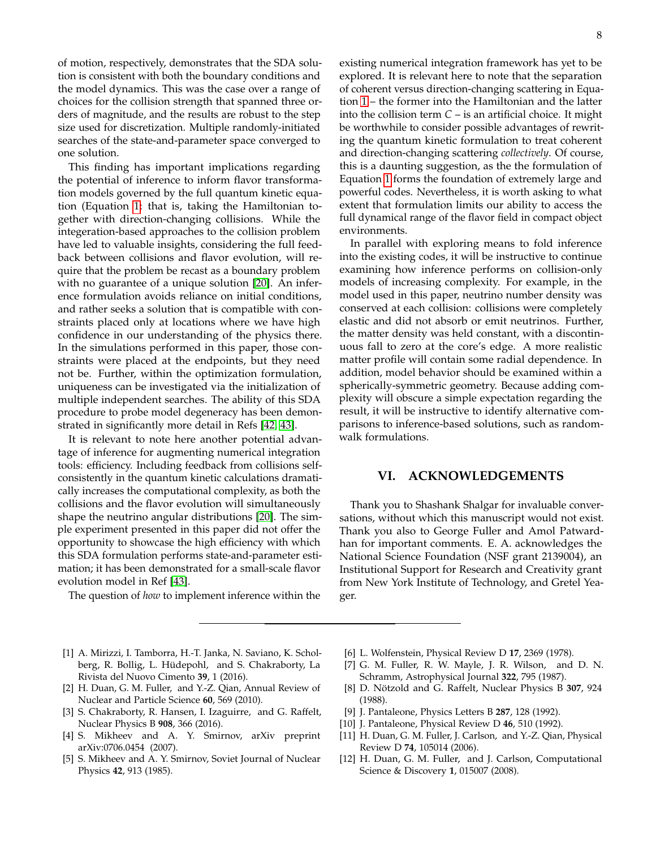of motion, respectively, demonstrates that the SDA solution is consistent with both the boundary conditions and the model dynamics. This was the case over a range of choices for the collision strength that spanned three orders of magnitude, and the results are robust to the step size used for discretization. Multiple randomly-initiated searches of the state-and-parameter space converged to one solution.

This finding has important implications regarding the potential of inference to inform flavor transformation models governed by the full quantum kinetic equation (Equation [1;](#page-1-2) that is, taking the Hamiltonian together with direction-changing collisions. While the integeration-based approaches to the collision problem have led to valuable insights, considering the full feedback between collisions and flavor evolution, will require that the problem be recast as a boundary problem with no guarantee of a unique solution [\[20\]](#page-8-5). An inference formulation avoids reliance on initial conditions, and rather seeks a solution that is compatible with constraints placed only at locations where we have high confidence in our understanding of the physics there. In the simulations performed in this paper, those constraints were placed at the endpoints, but they need not be. Further, within the optimization formulation, uniqueness can be investigated via the initialization of multiple independent searches. The ability of this SDA procedure to probe model degeneracy has been demonstrated in significantly more detail in Refs [\[42,](#page-8-18) [43\]](#page-8-23).

It is relevant to note here another potential advantage of inference for augmenting numerical integration tools: efficiency. Including feedback from collisions selfconsistently in the quantum kinetic calculations dramatically increases the computational complexity, as both the collisions and the flavor evolution will simultaneously shape the neutrino angular distributions [\[20\]](#page-8-5). The simple experiment presented in this paper did not offer the opportunity to showcase the high efficiency with which this SDA formulation performs state-and-parameter estimation; it has been demonstrated for a small-scale flavor evolution model in Ref [\[43\]](#page-8-23).

The question of *how* to implement inference within the

existing numerical integration framework has yet to be explored. It is relevant here to note that the separation of coherent versus direction-changing scattering in Equation [1](#page-1-2) – the former into the Hamiltonian and the latter into the collision term *C* – is an artificial choice. It might be worthwhile to consider possible advantages of rewriting the quantum kinetic formulation to treat coherent and direction-changing scattering *collectively*. Of course, this is a daunting suggestion, as the the formulation of Equation [1](#page-1-2) forms the foundation of extremely large and powerful codes. Nevertheless, it is worth asking to what extent that formulation limits our ability to access the full dynamical range of the flavor field in compact object environments.

In parallel with exploring means to fold inference into the existing codes, it will be instructive to continue examining how inference performs on collision-only models of increasing complexity. For example, in the model used in this paper, neutrino number density was conserved at each collision: collisions were completely elastic and did not absorb or emit neutrinos. Further, the matter density was held constant, with a discontinuous fall to zero at the core's edge. A more realistic matter profile will contain some radial dependence. In addition, model behavior should be examined within a spherically-symmetric geometry. Because adding complexity will obscure a simple expectation regarding the result, it will be instructive to identify alternative comparisons to inference-based solutions, such as randomwalk formulations.

# **VI. ACKNOWLEDGEMENTS**

Thank you to Shashank Shalgar for invaluable conversations, without which this manuscript would not exist. Thank you also to George Fuller and Amol Patwardhan for important comments. E. A. acknowledges the National Science Foundation (NSF grant 2139004), an Institutional Support for Research and Creativity grant from New York Institute of Technology, and Gretel Yeager.

- <span id="page-7-0"></span>[1] A. Mirizzi, I. Tamborra, H.-T. Janka, N. Saviano, K. Scholberg, R. Bollig, L. Hüdepohl, and S. Chakraborty, La Rivista del Nuovo Cimento **39**, 1 (2016).
- [2] H. Duan, G. M. Fuller, and Y.-Z. Qian, Annual Review of Nuclear and Particle Science **60**, 569 (2010).
- <span id="page-7-1"></span>[3] S. Chakraborty, R. Hansen, I. Izaguirre, and G. Raffelt, Nuclear Physics B **908**, 366 (2016).
- <span id="page-7-2"></span>[4] S. Mikheev and A. Y. Smirnov, arXiv preprint arXiv:0706.0454 (2007).
- [5] S. Mikheev and A. Y. Smirnov, Soviet Journal of Nuclear Physics **42**, 913 (1985).
- <span id="page-7-3"></span>[6] L. Wolfenstein, Physical Review D **17**, 2369 (1978).
- <span id="page-7-4"></span>[7] G. M. Fuller, R. W. Mayle, J. R. Wilson, and D. N. Schramm, Astrophysical Journal **322**, 795 (1987).
- [8] D. Nötzold and G. Raffelt, Nuclear Physics B **307**, 924 (1988).
- [9] J. Pantaleone, Physics Letters B **287**, 128 (1992).
- <span id="page-7-5"></span>[10] J. Pantaleone, Physical Review D **46**, 510 (1992).
- <span id="page-7-6"></span>[11] H. Duan, G. M. Fuller, J. Carlson, and Y.-Z. Qian, Physical Review D **74**, 105014 (2006).
- <span id="page-7-7"></span>[12] H. Duan, G. M. Fuller, and J. Carlson, Computational Science & Discovery **1**, 015007 (2008).